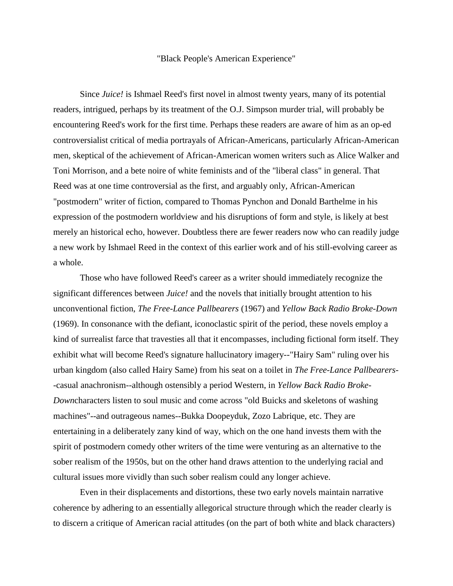## "Black People's American Experience"

Since *Juice!* is Ishmael Reed's first novel in almost twenty years, many of its potential readers, intrigued, perhaps by its treatment of the O.J. Simpson murder trial, will probably be encountering Reed's work for the first time. Perhaps these readers are aware of him as an op-ed controversialist critical of media portrayals of African-Americans, particularly African-American men, skeptical of the achievement of African-American women writers such as Alice Walker and Toni Morrison, and a bete noire of white feminists and of the "liberal class" in general. That Reed was at one time controversial as the first, and arguably only, African-American "postmodern" writer of fiction, compared to Thomas Pynchon and Donald Barthelme in his expression of the postmodern worldview and his disruptions of form and style, is likely at best merely an historical echo, however. Doubtless there are fewer readers now who can readily judge a new work by Ishmael Reed in the context of this earlier work and of his still-evolving career as a whole.

Those who have followed Reed's career as a writer should immediately recognize the significant differences between *Juice!* and the novels that initially brought attention to his unconventional fiction, *The Free-Lance Pallbearers* (1967) and *Yellow Back Radio Broke-Down*  (1969). In consonance with the defiant, iconoclastic spirit of the period, these novels employ a kind of surrealist farce that travesties all that it encompasses, including fictional form itself. They exhibit what will become Reed's signature hallucinatory imagery--"Hairy Sam" ruling over his urban kingdom (also called Hairy Same) from his seat on a toilet in *The Free-Lance Pallbearers*- -casual anachronism--although ostensibly a period Western, in *Yellow Back Radio Broke-Down*characters listen to soul music and come across "old Buicks and skeletons of washing machines"--and outrageous names--Bukka Doopeyduk, Zozo Labrique, etc. They are entertaining in a deliberately zany kind of way, which on the one hand invests them with the spirit of postmodern comedy other writers of the time were venturing as an alternative to the sober realism of the 1950s, but on the other hand draws attention to the underlying racial and cultural issues more vividly than such sober realism could any longer achieve.

Even in their displacements and distortions, these two early novels maintain narrative coherence by adhering to an essentially allegorical structure through which the reader clearly is to discern a critique of American racial attitudes (on the part of both white and black characters)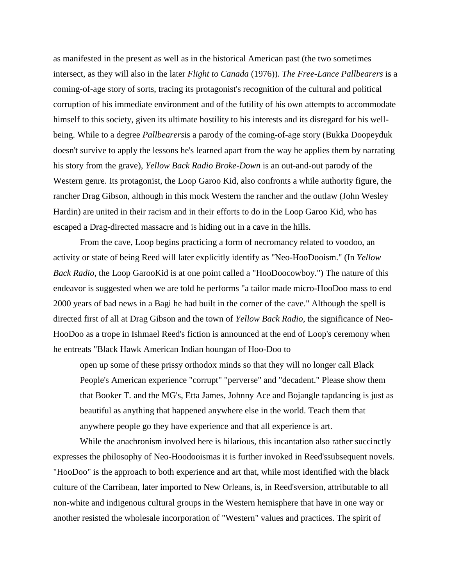as manifested in the present as well as in the historical American past (the two sometimes intersect, as they will also in the later *Flight to Canada* (1976)). *The Free-Lance Pallbearers* is a coming-of-age story of sorts, tracing its protagonist's recognition of the cultural and political corruption of his immediate environment and of the futility of his own attempts to accommodate himself to this society, given its ultimate hostility to his interests and its disregard for his wellbeing. While to a degree *Pallbearers*is a parody of the coming-of-age story (Bukka Doopeyduk doesn't survive to apply the lessons he's learned apart from the way he applies them by narrating his story from the grave), *Yellow Back Radio Broke-Down* is an out-and-out parody of the Western genre. Its protagonist, the Loop Garoo Kid, also confronts a while authority figure, the rancher Drag Gibson, although in this mock Western the rancher and the outlaw (John Wesley Hardin) are united in their racism and in their efforts to do in the Loop Garoo Kid, who has escaped a Drag-directed massacre and is hiding out in a cave in the hills.

From the cave, Loop begins practicing a form of necromancy related to voodoo, an activity or state of being Reed will later explicitly identify as "Neo-HooDooism." (In *Yellow Back Radio*, the Loop GarooKid is at one point called a "HooDoocowboy.") The nature of this endeavor is suggested when we are told he performs "a tailor made micro-HooDoo mass to end 2000 years of bad news in a Bagi he had built in the corner of the cave." Although the spell is directed first of all at Drag Gibson and the town of *Yellow Back Radio*, the significance of Neo-HooDoo as a trope in Ishmael Reed's fiction is announced at the end of Loop's ceremony when he entreats "Black Hawk American Indian houngan of Hoo-Doo to

open up some of these prissy orthodox minds so that they will no longer call Black People's American experience "corrupt" "perverse" and "decadent." Please show them that Booker T. and the MG's, Etta James, Johnny Ace and Bojangle tapdancing is just as beautiful as anything that happened anywhere else in the world. Teach them that anywhere people go they have experience and that all experience is art.

While the anachronism involved here is hilarious, this incantation also rather succinctly expresses the philosophy of Neo-Hoodooismas it is further invoked in Reed'ssubsequent novels. "HooDoo" is the approach to both experience and art that, while most identified with the black culture of the Carribean, later imported to New Orleans, is, in Reed'sversion, attributable to all non-white and indigenous cultural groups in the Western hemisphere that have in one way or another resisted the wholesale incorporation of "Western" values and practices. The spirit of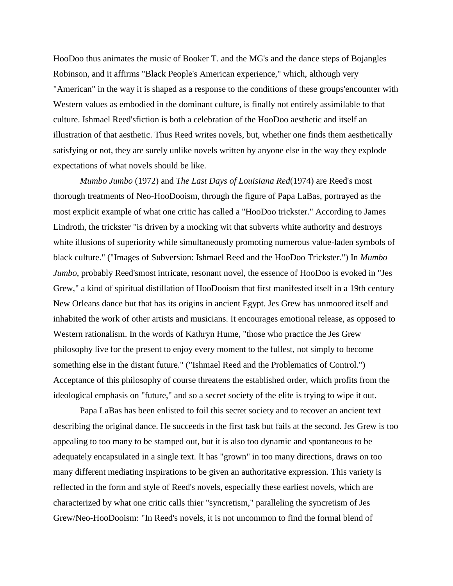HooDoo thus animates the music of Booker T. and the MG's and the dance steps of Bojangles Robinson, and it affirms "Black People's American experience," which, although very "American" in the way it is shaped as a response to the conditions of these groups'encounter with Western values as embodied in the dominant culture, is finally not entirely assimilable to that culture. Ishmael Reed'sfiction is both a celebration of the HooDoo aesthetic and itself an illustration of that aesthetic. Thus Reed writes novels, but, whether one finds them aesthetically satisfying or not, they are surely unlike novels written by anyone else in the way they explode expectations of what novels should be like.

*Mumbo Jumbo* (1972) and *The Last Days of Louisiana Red*(1974) are Reed's most thorough treatments of Neo-HooDooism, through the figure of Papa LaBas, portrayed as the most explicit example of what one critic has called a "HooDoo trickster." According to James Lindroth, the trickster "is driven by a mocking wit that subverts white authority and destroys white illusions of superiority while simultaneously promoting numerous value-laden symbols of black culture." ("Images of Subversion: Ishmael Reed and the HooDoo Trickster.") In *Mumbo Jumbo*, probably Reed'smost intricate, resonant novel, the essence of HooDoo is evoked in "Jes Grew," a kind of spiritual distillation of HooDooism that first manifested itself in a 19th century New Orleans dance but that has its origins in ancient Egypt. Jes Grew has unmoored itself and inhabited the work of other artists and musicians. It encourages emotional release, as opposed to Western rationalism. In the words of Kathryn Hume, "those who practice the Jes Grew philosophy live for the present to enjoy every moment to the fullest, not simply to become something else in the distant future." ("Ishmael Reed and the Problematics of Control.") Acceptance of this philosophy of course threatens the established order, which profits from the ideological emphasis on "future," and so a secret society of the elite is trying to wipe it out.

Papa LaBas has been enlisted to foil this secret society and to recover an ancient text describing the original dance. He succeeds in the first task but fails at the second. Jes Grew is too appealing to too many to be stamped out, but it is also too dynamic and spontaneous to be adequately encapsulated in a single text. It has "grown" in too many directions, draws on too many different mediating inspirations to be given an authoritative expression. This variety is reflected in the form and style of Reed's novels, especially these earliest novels, which are characterized by what one critic calls thier "syncretism," paralleling the syncretism of Jes Grew/Neo-HooDooism: "In Reed's novels, it is not uncommon to find the formal blend of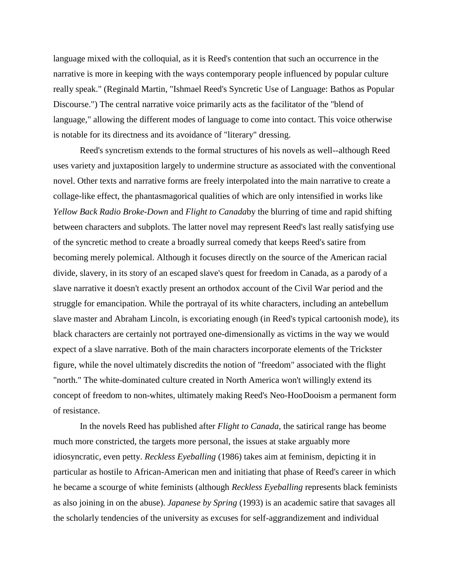language mixed with the colloquial, as it is Reed's contention that such an occurrence in the narrative is more in keeping with the ways contemporary people influenced by popular culture really speak." (Reginald Martin, "Ishmael Reed's Syncretic Use of Language: Bathos as Popular Discourse.") The central narrative voice primarily acts as the facilitator of the "blend of language," allowing the different modes of language to come into contact. This voice otherwise is notable for its directness and its avoidance of "literary" dressing.

Reed's syncretism extends to the formal structures of his novels as well--although Reed uses variety and juxtaposition largely to undermine structure as associated with the conventional novel. Other texts and narrative forms are freely interpolated into the main narrative to create a collage-like effect, the phantasmagorical qualities of which are only intensified in works like *Yellow Back Radio Broke-Down* and *Flight to Canada*by the blurring of time and rapid shifting between characters and subplots. The latter novel may represent Reed's last really satisfying use of the syncretic method to create a broadly surreal comedy that keeps Reed's satire from becoming merely polemical. Although it focuses directly on the source of the American racial divide, slavery, in its story of an escaped slave's quest for freedom in Canada, as a parody of a slave narrative it doesn't exactly present an orthodox account of the Civil War period and the struggle for emancipation. While the portrayal of its white characters, including an antebellum slave master and Abraham Lincoln, is excoriating enough (in Reed's typical cartoonish mode), its black characters are certainly not portrayed one-dimensionally as victims in the way we would expect of a slave narrative. Both of the main characters incorporate elements of the Trickster figure, while the novel ultimately discredits the notion of "freedom" associated with the flight "north." The white-dominated culture created in North America won't willingly extend its concept of freedom to non-whites, ultimately making Reed's Neo-HooDooism a permanent form of resistance.

In the novels Reed has published after *Flight to Canada,* the satirical range has beome much more constricted, the targets more personal, the issues at stake arguably more idiosyncratic, even petty. *Reckless Eyeballing* (1986) takes aim at feminism, depicting it in particular as hostile to African-American men and initiating that phase of Reed's career in which he became a scourge of white feminists (although *Reckless Eyeballing* represents black feminists as also joining in on the abuse). *Japanese by Spring* (1993) is an academic satire that savages all the scholarly tendencies of the university as excuses for self-aggrandizement and individual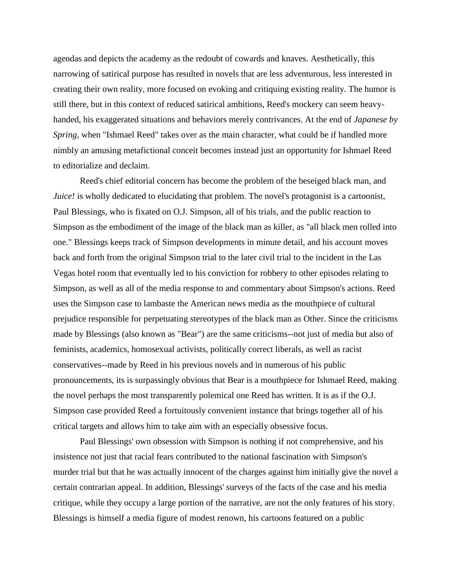agendas and depicts the academy as the redoubt of cowards and knaves. Aesthetically, this narrowing of satirical purpose has resulted in novels that are less adventurous, less interested in creating their own reality, more focused on evoking and critiquing existing reality. The humor is still there, but in this context of reduced satirical ambitions, Reed's mockery can seem heavyhanded, his exaggerated situations and behaviors merely contrivances. At the end of *Japanese by Spring*, when "Ishmael Reed" takes over as the main character, what could be if handled more nimbly an amusing metafictional conceit becomes instead just an opportunity for Ishmael Reed to editorialize and declaim.

Reed's chief editorial concern has become the problem of the beseiged black man, and *Juice!* is wholly dedicated to elucidating that problem. The novel's protagonist is a cartoonist, Paul Blessings, who is fixated on O.J. Simpson, all of his trials, and the public reaction to Simpson as the embodiment of the image of the black man as killer, as "all black men rolled into one." Blessings keeps track of Simpson developments in minute detail, and his account moves back and forth from the original Simpson trial to the later civil trial to the incident in the Las Vegas hotel room that eventually led to his conviction for robbery to other episodes relating to Simpson, as well as all of the media response to and commentary about Simpson's actions. Reed uses the Simpson case to lambaste the American news media as the mouthpiece of cultural prejudice responsible for perpetuating stereotypes of the black man as Other. Since the criticisms made by Blessings (also known as "Bear") are the same criticisms--not just of media but also of feminists, academics, homosexual activists, politically correct liberals, as well as racist conservatives--made by Reed in his previous novels and in numerous of his public pronouncements, its is surpassingly obvious that Bear is a mouthpiece for Ishmael Reed, making the novel perhaps the most transparently polemical one Reed has written. It is as if the O.J. Simpson case provided Reed a fortuitously convenient instance that brings together all of his critical targets and allows him to take aim with an especially obsessive focus.

Paul Blessings' own obsession with Simpson is nothing if not comprehensive, and his insistence not just that racial fears contributed to the national fascination with Simpson's murder trial but that he was actually innocent of the charges against him initially give the novel a certain contrarian appeal. In addition, Blessings' surveys of the facts of the case and his media critique, while they occupy a large portion of the narrative, are not the only features of his story. Blessings is himself a media figure of modest renown, his cartoons featured on a public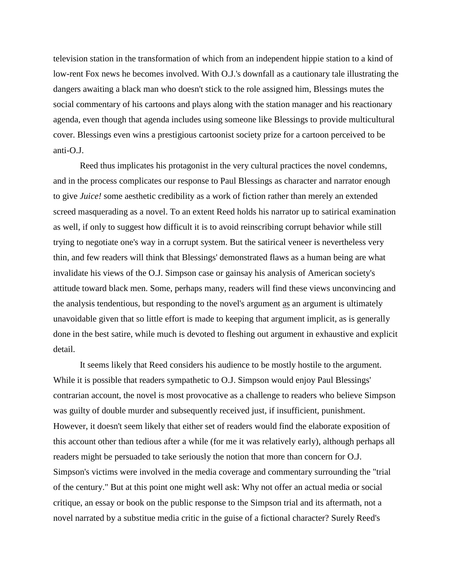television station in the transformation of which from an independent hippie station to a kind of low-rent Fox news he becomes involved. With O.J.'s downfall as a cautionary tale illustrating the dangers awaiting a black man who doesn't stick to the role assigned him, Blessings mutes the social commentary of his cartoons and plays along with the station manager and his reactionary agenda, even though that agenda includes using someone like Blessings to provide multicultural cover. Blessings even wins a prestigious cartoonist society prize for a cartoon perceived to be anti-O.J.

Reed thus implicates his protagonist in the very cultural practices the novel condemns, and in the process complicates our response to Paul Blessings as character and narrator enough to give *Juice!* some aesthetic credibility as a work of fiction rather than merely an extended screed masquerading as a novel. To an extent Reed holds his narrator up to satirical examination as well, if only to suggest how difficult it is to avoid reinscribing corrupt behavior while still trying to negotiate one's way in a corrupt system. But the satirical veneer is nevertheless very thin, and few readers will think that Blessings' demonstrated flaws as a human being are what invalidate his views of the O.J. Simpson case or gainsay his analysis of American society's attitude toward black men. Some, perhaps many, readers will find these views unconvincing and the analysis tendentious, but responding to the novel's argument as an argument is ultimately unavoidable given that so little effort is made to keeping that argument implicit, as is generally done in the best satire, while much is devoted to fleshing out argument in exhaustive and explicit detail.

It seems likely that Reed considers his audience to be mostly hostile to the argument. While it is possible that readers sympathetic to O.J. Simpson would enjoy Paul Blessings' contrarian account, the novel is most provocative as a challenge to readers who believe Simpson was guilty of double murder and subsequently received just, if insufficient, punishment. However, it doesn't seem likely that either set of readers would find the elaborate exposition of this account other than tedious after a while (for me it was relatively early), although perhaps all readers might be persuaded to take seriously the notion that more than concern for O.J. Simpson's victims were involved in the media coverage and commentary surrounding the "trial of the century." But at this point one might well ask: Why not offer an actual media or social critique, an essay or book on the public response to the Simpson trial and its aftermath, not a novel narrated by a substitue media critic in the guise of a fictional character? Surely Reed's